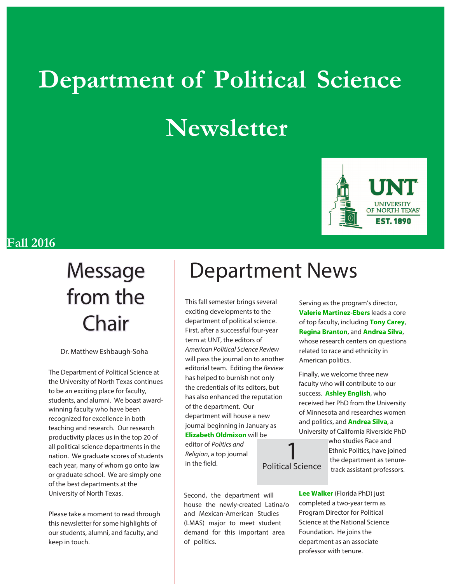# **Department of Political Science Newsletter**



#### **Fall 2016**

# from the Chair

Dr. Matthew Eshbaugh-Soha

The Department of Political Science at the University of North Texas continues to be an exciting place for faculty, students, and alumni. We boast awardwinning faculty who have been recognized for excellence in both teaching and research. Our research productivity places us in the top 20 of all political science departments in the nation. We graduate scores of students each year, many of whom go onto law or graduate school. We are simply one of the best departments at the University of North Texas.

Please take a moment to read through this newsletter for some highlights of our students, alumni, and faculty, and keep in touch.

## Message | Department News

1

This fall semester brings several exciting developments to the department of political science. First, after a successful four-year term at UNT, the editors of American Political Science Review will pass the journal on to another editorial team. Editing the Review has helped to burnish not only the credentials of its editors, but has also enhanced the reputation of the department. Our department will house a new journal beginning in January as **Elizabeth Oldmixon** will be editor of Politics and Religion, a top journal in the field. Political Science

Second, the department will house the newly-created Latina/o and Mexican-American Studies (LMAS) major to meet student demand for this important area of politics.

Serving as the program's director, **Valerie Martinez-Ebers** leads a core of top faculty, including **Tony Carey**, **Regina Branton**, and **Andrea Silva**, whose research centers on questions related to race and ethnicity in American politics.

Finally, we welcome three new faculty who will contribute to our success. **Ashley English**, who received her PhD from the University of Minnesota and researches women and politics, and **Andrea Silva**, a University of California Riverside PhD

> who studies Race and Ethnic Politics, have joined the department as tenuretrack assistant professors.

**Lee Walker** (Florida PhD) just completed a two-year term as Program Director for Political Science at the National Science Foundation. He joins the department as an associate professor with tenure.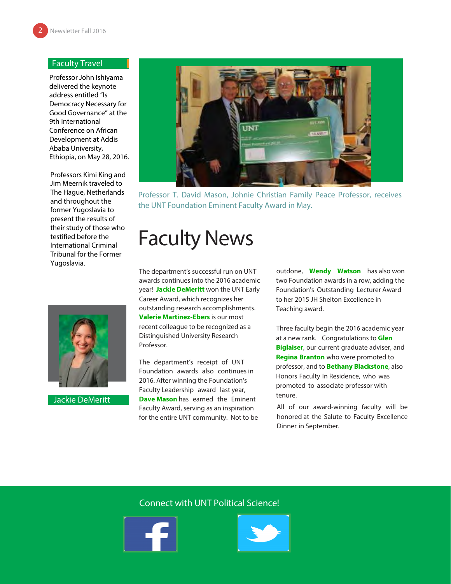#### Faculty Travel

Professor John Ishiyama delivered the keynote address entitled "Is Democracy Necessary for Good Governance" at the 9th International Conference on African Development at Addis Ababa University, Ethiopia, on May 28, 2016.

Professors Kimi King and Jim Meernik traveled to The Hague, Netherlands and throughout the former Yugoslavia to present the results of their study of those who testified before the International Criminal Tribunal for the Former Yugoslavia.



Jackie DeMeritt



Professor T. David Mason, Johnie Christian Family Peace Professor, receives the UNT Foundation Eminent Faculty Award in May.

### Faculty News

The department's successful run on UNT awards continues into the 2016 academic year! **Jackie DeMeritt** won the UNT Early Career Award, which recognizes her outstanding research accomplishments. **Valerie Martinez-Ebers** is our most recent colleague to be recognized as a Distinguished University Research Professor.

The department's receipt of UNT Foundation awards also continues in 2016. After winning the Foundation's Faculty Leadership award last year, **Dave Mason** has earned the Eminent Faculty Award, serving as an inspiration for the entire UNT community. Not to be

outdone, **Wendy Watson** has also won two Foundation awards in a row, adding the Foundation's Outstanding Lecturer Award to her 2015 JH Shelton Excellence in Teaching award.

Three faculty begin the 2016 academic year at a new rank. Congratulations to **Glen Biglaiser**, our current graduate adviser, and **Regina Branton** who were promoted to professor, and to **Bethany Blackstone**, also Honors Faculty In Residence, who was promoted to associate professor with tenure.

All of our award-winning faculty will be honored at the Salute to Faculty Excellence Dinner in September.

#### Connect with UNT Political Science!



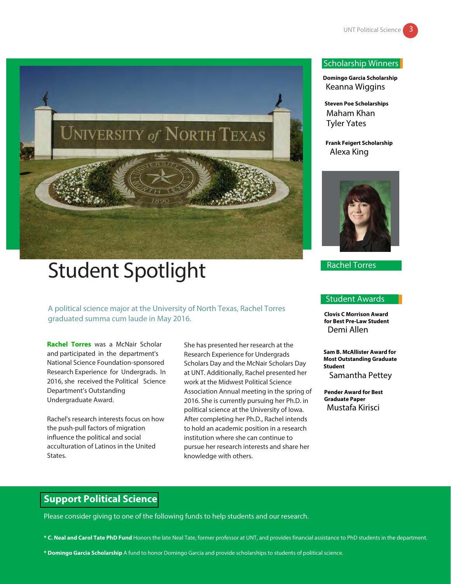

## Student Spotlight

A political science major at the University of North Texas, Rachel Torres graduated summa cum laude in May 2016.

**Rachel Torres** was a McNair Scholar and participated in the department's National Science Foundation-sponsored Research Experience for Undergrads. In 2016, she received the Political Science Department's Outstanding Undergraduate Award.

Rachel's research interests focus on how the push-pull factors of migration influence the political and social acculturation of Latinos in the United States.

She has presented her research at the Research Experience for Undergrads Scholars Day and the McNair Scholars Day at UNT. Additionally, Rachel presented her work at the Midwest Political Science Association Annual meeting in the spring of 2016. She is currently pursuing her Ph.D. in political science at the University of Iowa. After completing her Ph.D., Rachel intends to hold an academic position in a research institution where she can continue to pursue her research interests and share her knowledge with others.

#### Scholarship Winners

**Domingo Garcia Scholarship** Keanna Wiggins

**Steven Poe Scholarships** Maham Khan Tyler Yates

**Frank Feigert Scholarship** Alexa King



Rachel Torres

#### Student Awards

**Clovis C Morrison Award for Best Pre-Law Student** Demi Allen

**Sam B. McAllister Award for Most Outstanding Graduate Student** Samantha Pettey

**Pender Award for Best Graduate Paper** Mustafa Kirisci

#### **Support Political Science**

Please consider giving to one of the following funds to help students and our research.

**\* C. Neal and Carol Tate PhD Fund** Honors the late Neal Tate, former professor at UNT, and provides financial assistance to PhD students in the department.

**\* Domingo Garcia Scholarship** A fund to honor Domingo Garcia and provide scholarships to students of political science.